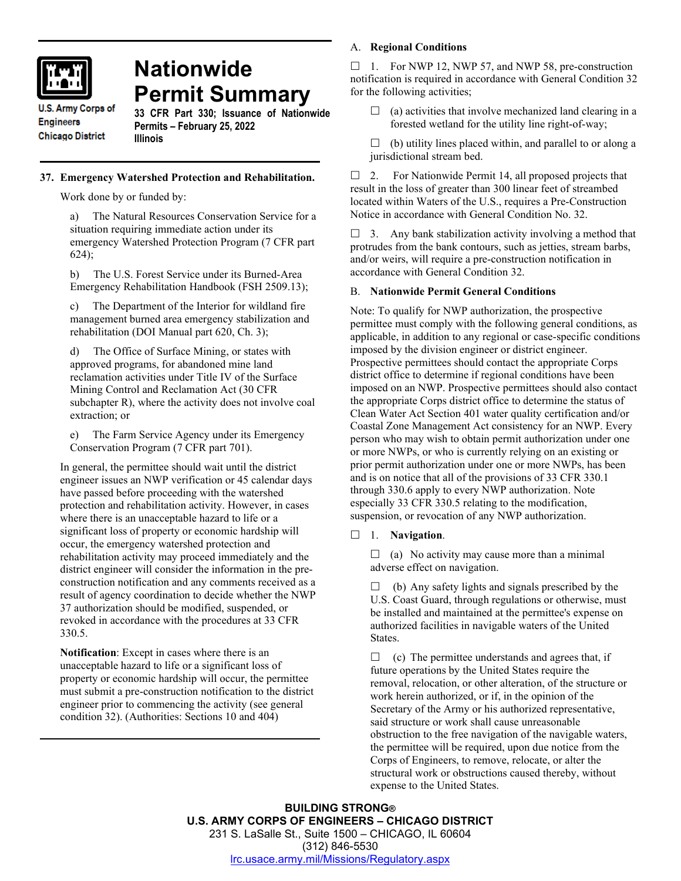

# **Nationwide Permit Summary**

**U.S. Army Corps of Engineers Chicago District** 

**33 CFR Part 330; Issuance of Nationwide Permits – February 25, 2022 Illinois**

## **37. Emergency Watershed Protection and Rehabilitation.**

Work done by or funded by:

The Natural Resources Conservation Service for a situation requiring immediate action under its emergency Watershed Protection Program (7 CFR part 624);

b) The U.S. Forest Service under its Burned-Area Emergency Rehabilitation Handbook (FSH 2509.13);

c) The Department of the Interior for wildland fire management burned area emergency stabilization and rehabilitation (DOI Manual part 620, Ch. 3);

The Office of Surface Mining, or states with approved programs, for abandoned mine land reclamation activities under Title IV of the Surface Mining Control and Reclamation Act (30 CFR subchapter R), where the activity does not involve coal extraction; or

e) The Farm Service Agency under its Emergency Conservation Program (7 CFR part 701).

In general, the permittee should wait until the district engineer issues an NWP verification or 45 calendar days have passed before proceeding with the watershed protection and rehabilitation activity. However, in cases where there is an unacceptable hazard to life or a significant loss of property or economic hardship will occur, the emergency watershed protection and rehabilitation activity may proceed immediately and the district engineer will consider the information in the preconstruction notification and any comments received as a result of agency coordination to decide whether the NWP 37 authorization should be modified, suspended, or revoked in accordance with the procedures at 33 CFR 330.5.

**Notification**: Except in cases where there is an unacceptable hazard to life or a significant loss of property or economic hardship will occur, the permittee must submit a pre-construction notification to the district engineer prior to commencing the activity (see general condition 32). (Authorities: Sections 10 and 404)

## A. **Regional Conditions**

 $\Box$  1. For NWP 12, NWP 57, and NWP 58, pre-construction notification is required in accordance with General Condition 32 for the following activities;

- $\Box$  (a) activities that involve mechanized land clearing in a forested wetland for the utility line right-of-way;
- $\Box$  (b) utility lines placed within, and parallel to or along a jurisdictional stream bed.

 $\Box$  2. For Nationwide Permit 14, all proposed projects that result in the loss of greater than 300 linear feet of streambed located within Waters of the U.S., requires a Pre-Construction Notice in accordance with General Condition No. 32.

 $\Box$  3. Any bank stabilization activity involving a method that protrudes from the bank contours, such as jetties, stream barbs, and/or weirs, will require a pre-construction notification in accordance with General Condition 32.

## B. **Nationwide Permit General Conditions**

Note: To qualify for NWP authorization, the prospective permittee must comply with the following general conditions, as applicable, in addition to any regional or case-specific conditions imposed by the division engineer or district engineer. Prospective permittees should contact the appropriate Corps district office to determine if regional conditions have been imposed on an NWP. Prospective permittees should also contact the appropriate Corps district office to determine the status of Clean Water Act Section 401 water quality certification and/or Coastal Zone Management Act consistency for an NWP. Every person who may wish to obtain permit authorization under one or more NWPs, or who is currently relying on an existing or prior permit authorization under one or more NWPs, has been and is on notice that all of the provisions of 33 CFR 330.1 through 330.6 apply to every NWP authorization. Note especially 33 CFR 330.5 relating to the modification, suspension, or revocation of any NWP authorization.

1. **Navigation**.

 $\Box$  (a) No activity may cause more than a minimal adverse effect on navigation.

 $\Box$  (b) Any safety lights and signals prescribed by the U.S. Coast Guard, through regulations or otherwise, must be installed and maintained at the permittee's expense on authorized facilities in navigable waters of the United States.

 $\Box$  (c) The permittee understands and agrees that, if future operations by the United States require the removal, relocation, or other alteration, of the structure or work herein authorized, or if, in the opinion of the Secretary of the Army or his authorized representative, said structure or work shall cause unreasonable obstruction to the free navigation of the navigable waters, the permittee will be required, upon due notice from the Corps of Engineers, to remove, relocate, or alter the structural work or obstructions caused thereby, without expense to the United States.

**BUILDING STRONG® U.S. ARMY CORPS OF ENGINEERS – CHICAGO DISTRICT** 231 S. LaSalle St., Suite 1500 – CHICAGO, IL 60604 (312) 846-5530 [lrc.usace.army.mil/Missions/Regulatory.aspx](https://www.lrc.usace.army.mil/Missions/Regulatory.aspx)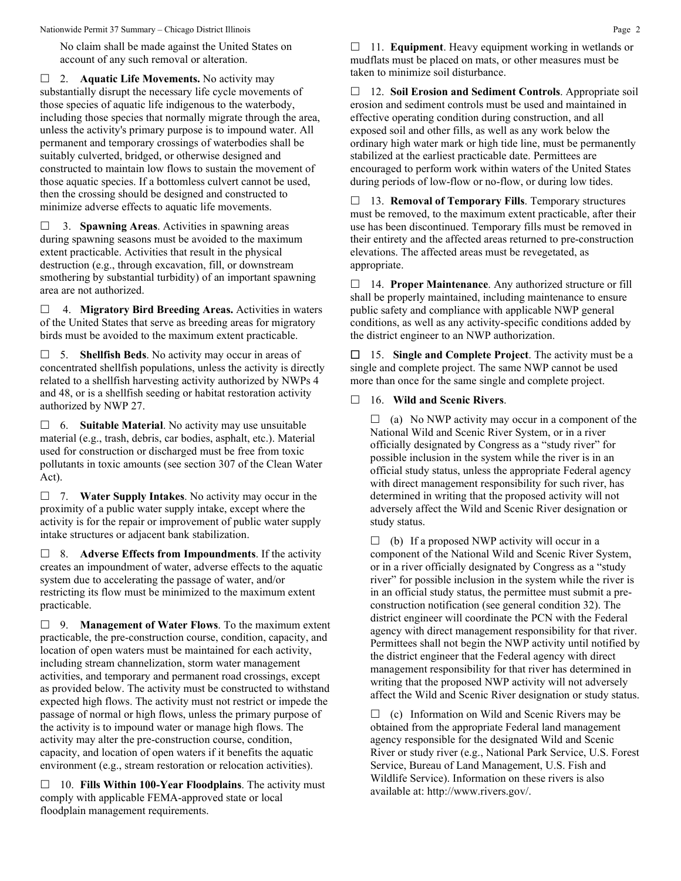Nationwide Permit 37 Summary – Chicago District Illinois **Page 2** Page 2

No claim shall be made against the United States on account of any such removal or alteration.

□ 2. **Aquatic Life Movements.** No activity may substantially disrupt the necessary life cycle movements of those species of aquatic life indigenous to the waterbody, including those species that normally migrate through the area, unless the activity's primary purpose is to impound water. All permanent and temporary crossings of waterbodies shall be suitably culverted, bridged, or otherwise designed and constructed to maintain low flows to sustain the movement of those aquatic species. If a bottomless culvert cannot be used, then the crossing should be designed and constructed to minimize adverse effects to aquatic life movements.

 3. **Spawning Areas**. Activities in spawning areas during spawning seasons must be avoided to the maximum extent practicable. Activities that result in the physical destruction (e.g., through excavation, fill, or downstream smothering by substantial turbidity) of an important spawning area are not authorized.

 4. **Migratory Bird Breeding Areas.** Activities in waters of the United States that serve as breeding areas for migratory birds must be avoided to the maximum extent practicable.

 5. **Shellfish Beds**. No activity may occur in areas of concentrated shellfish populations, unless the activity is directly related to a shellfish harvesting activity authorized by NWPs 4 and 48, or is a shellfish seeding or habitat restoration activity authorized by NWP 27.

 6. **Suitable Material**. No activity may use unsuitable material (e.g., trash, debris, car bodies, asphalt, etc.). Material used for construction or discharged must be free from toxic pollutants in toxic amounts (see section 307 of the Clean Water Act).

 7. **Water Supply Intakes**. No activity may occur in the proximity of a public water supply intake, except where the activity is for the repair or improvement of public water supply intake structures or adjacent bank stabilization.

 8. **Adverse Effects from Impoundments**. If the activity creates an impoundment of water, adverse effects to the aquatic system due to accelerating the passage of water, and/or restricting its flow must be minimized to the maximum extent practicable.

 9. **Management of Water Flows**. To the maximum extent practicable, the pre-construction course, condition, capacity, and location of open waters must be maintained for each activity, including stream channelization, storm water management activities, and temporary and permanent road crossings, except as provided below. The activity must be constructed to withstand expected high flows. The activity must not restrict or impede the passage of normal or high flows, unless the primary purpose of the activity is to impound water or manage high flows. The activity may alter the pre-construction course, condition, capacity, and location of open waters if it benefits the aquatic environment (e.g., stream restoration or relocation activities).

 10. **Fills Within 100-Year Floodplains**. The activity must comply with applicable FEMA-approved state or local floodplain management requirements.

□ 11. **Equipment**. Heavy equipment working in wetlands or mudflats must be placed on mats, or other measures must be taken to minimize soil disturbance.

 12. **Soil Erosion and Sediment Controls**. Appropriate soil erosion and sediment controls must be used and maintained in effective operating condition during construction, and all exposed soil and other fills, as well as any work below the ordinary high water mark or high tide line, must be permanently stabilized at the earliest practicable date. Permittees are encouraged to perform work within waters of the United States during periods of low-flow or no-flow, or during low tides.

 13. **Removal of Temporary Fills**. Temporary structures must be removed, to the maximum extent practicable, after their use has been discontinued. Temporary fills must be removed in their entirety and the affected areas returned to pre-construction elevations. The affected areas must be revegetated, as appropriate.

 14. **Proper Maintenance**. Any authorized structure or fill shall be properly maintained, including maintenance to ensure public safety and compliance with applicable NWP general conditions, as well as any activity-specific conditions added by the district engineer to an NWP authorization.

 15. **Single and Complete Project**. The activity must be a single and complete project. The same NWP cannot be used more than once for the same single and complete project.

## 16. **Wild and Scenic Rivers**.

 $\Box$  (a) No NWP activity may occur in a component of the National Wild and Scenic River System, or in a river officially designated by Congress as a "study river" for possible inclusion in the system while the river is in an official study status, unless the appropriate Federal agency with direct management responsibility for such river, has determined in writing that the proposed activity will not adversely affect the Wild and Scenic River designation or study status.

 $\Box$  (b) If a proposed NWP activity will occur in a component of the National Wild and Scenic River System, or in a river officially designated by Congress as a "study river" for possible inclusion in the system while the river is in an official study status, the permittee must submit a preconstruction notification (see general condition 32). The district engineer will coordinate the PCN with the Federal agency with direct management responsibility for that river. Permittees shall not begin the NWP activity until notified by the district engineer that the Federal agency with direct management responsibility for that river has determined in writing that the proposed NWP activity will not adversely affect the Wild and Scenic River designation or study status.

 $\Box$  (c) Information on Wild and Scenic Rivers may be obtained from the appropriate Federal land management agency responsible for the designated Wild and Scenic River or study river (e.g., National Park Service, U.S. Forest Service, Bureau of Land Management, U.S. Fish and Wildlife Service). Information on these rivers is also available at: http://www.rivers.gov/.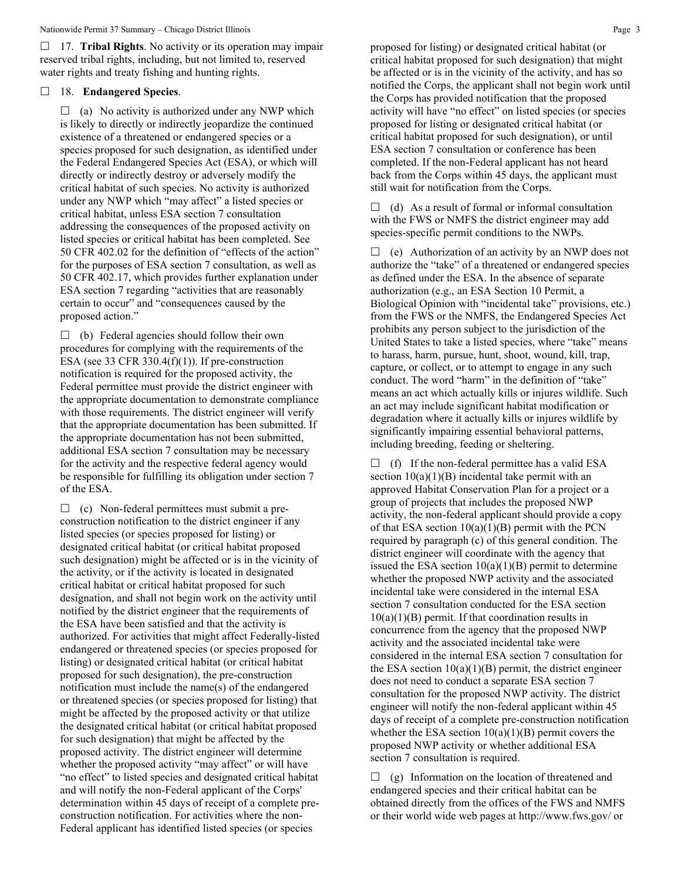17. **Tribal Rights**. No activity or its operation may impair reserved tribal rights, including, but not limited to, reserved water rights and treaty fishing and hunting rights.

## 18. **Endangered Species**.

 $\Box$  (a) No activity is authorized under any NWP which is likely to directly or indirectly jeopardize the continued existence of a threatened or endangered species or a species proposed for such designation, as identified under the Federal Endangered Species Act (ESA), or which will directly or indirectly destroy or adversely modify the critical habitat of such species. No activity is authorized under any NWP which "may affect" a listed species or critical habitat, unless ESA section 7 consultation addressing the consequences of the proposed activity on listed species or critical habitat has been completed. See 50 CFR 402.02 for the definition of "effects of the action" for the purposes of ESA section 7 consultation, as well as 50 CFR 402.17, which provides further explanation under ESA section 7 regarding "activities that are reasonably certain to occur" and "consequences caused by the proposed action."

 $\Box$  (b) Federal agencies should follow their own procedures for complying with the requirements of the ESA (see 33 CFR 330.4 $(f)(1)$ ). If pre-construction notification is required for the proposed activity, the Federal permittee must provide the district engineer with the appropriate documentation to demonstrate compliance with those requirements. The district engineer will verify that the appropriate documentation has been submitted. If the appropriate documentation has not been submitted, additional ESA section 7 consultation may be necessary for the activity and the respective federal agency would be responsible for fulfilling its obligation under section 7 of the ESA.

 $\Box$  (c) Non-federal permittees must submit a preconstruction notification to the district engineer if any listed species (or species proposed for listing) or designated critical habitat (or critical habitat proposed such designation) might be affected or is in the vicinity of the activity, or if the activity is located in designated critical habitat or critical habitat proposed for such designation, and shall not begin work on the activity until notified by the district engineer that the requirements of the ESA have been satisfied and that the activity is authorized. For activities that might affect Federally-listed endangered or threatened species (or species proposed for listing) or designated critical habitat (or critical habitat proposed for such designation), the pre-construction notification must include the name(s) of the endangered or threatened species (or species proposed for listing) that might be affected by the proposed activity or that utilize the designated critical habitat (or critical habitat proposed for such designation) that might be affected by the proposed activity. The district engineer will determine whether the proposed activity "may affect" or will have "no effect" to listed species and designated critical habitat and will notify the non-Federal applicant of the Corps' determination within 45 days of receipt of a complete preconstruction notification. For activities where the non-Federal applicant has identified listed species (or species

proposed for listing) or designated critical habitat (or critical habitat proposed for such designation) that might be affected or is in the vicinity of the activity, and has so notified the Corps, the applicant shall not begin work until the Corps has provided notification that the proposed activity will have "no effect" on listed species (or species proposed for listing or designated critical habitat (or critical habitat proposed for such designation), or until ESA section 7 consultation or conference has been completed. If the non-Federal applicant has not heard back from the Corps within 45 days, the applicant must still wait for notification from the Corps.

 $\Box$  (d) As a result of formal or informal consultation with the FWS or NMFS the district engineer may add species-specific permit conditions to the NWPs.

 $\Box$  (e) Authorization of an activity by an NWP does not authorize the "take" of a threatened or endangered species as defined under the ESA. In the absence of separate authorization (e.g., an ESA Section 10 Permit, a Biological Opinion with "incidental take" provisions, etc.) from the FWS or the NMFS, the Endangered Species Act prohibits any person subject to the jurisdiction of the United States to take a listed species, where "take" means to harass, harm, pursue, hunt, shoot, wound, kill, trap, capture, or collect, or to attempt to engage in any such conduct. The word "harm" in the definition of "take" means an act which actually kills or injures wildlife. Such an act may include significant habitat modification or degradation where it actually kills or injures wildlife by significantly impairing essential behavioral patterns, including breeding, feeding or sheltering.

 $\Box$  (f) If the non-federal permittee has a valid ESA section  $10(a)(1)(B)$  incidental take permit with an approved Habitat Conservation Plan for a project or a group of projects that includes the proposed NWP activity, the non-federal applicant should provide a copy of that ESA section  $10(a)(1)(B)$  permit with the PCN required by paragraph (c) of this general condition. The district engineer will coordinate with the agency that issued the ESA section  $10(a)(1)(B)$  permit to determine whether the proposed NWP activity and the associated incidental take were considered in the internal ESA section 7 consultation conducted for the ESA section  $10(a)(1)(B)$  permit. If that coordination results in concurrence from the agency that the proposed NWP activity and the associated incidental take were considered in the internal ESA section 7 consultation for the ESA section  $10(a)(1)(B)$  permit, the district engineer does not need to conduct a separate ESA section 7 consultation for the proposed NWP activity. The district engineer will notify the non-federal applicant within 45 days of receipt of a complete pre-construction notification whether the ESA section  $10(a)(1)(B)$  permit covers the proposed NWP activity or whether additional ESA section 7 consultation is required.

 $\Box$  (g) Information on the location of threatened and endangered species and their critical habitat can be obtained directly from the offices of the FWS and NMFS or their world wide web pages at http://www.fws.gov/ or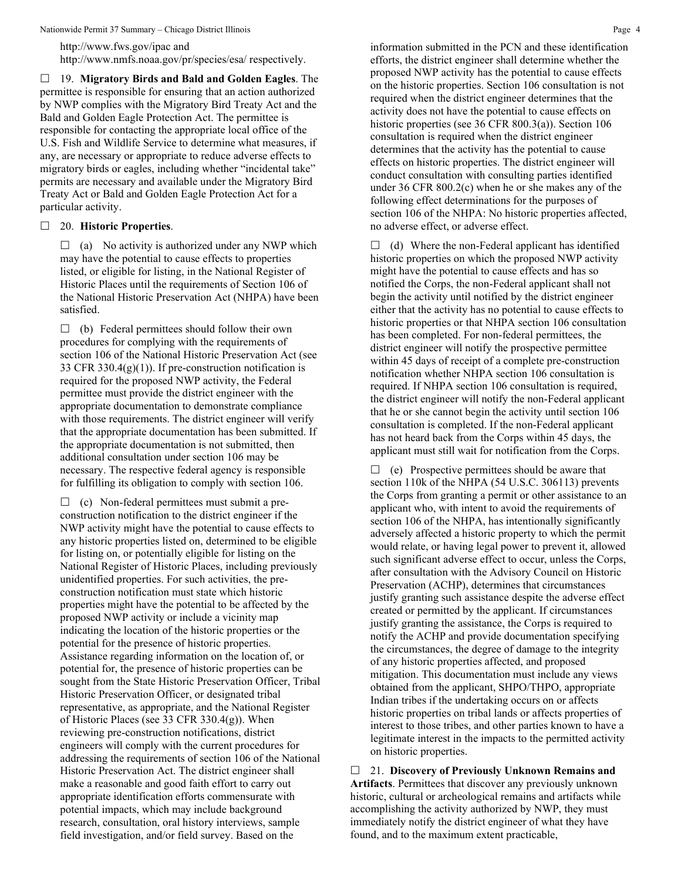Nationwide Permit 37 Summary – Chicago District Illinois **Page 4** Alexander 2012 12:30 Page 4

http://www.fws.gov/ipac and http://www.nmfs.noaa.gov/pr/species/esa/ respectively.

 19. **Migratory Birds and Bald and Golden Eagles**. The permittee is responsible for ensuring that an action authorized by NWP complies with the Migratory Bird Treaty Act and the Bald and Golden Eagle Protection Act. The permittee is responsible for contacting the appropriate local office of the U.S. Fish and Wildlife Service to determine what measures, if any, are necessary or appropriate to reduce adverse effects to migratory birds or eagles, including whether "incidental take" permits are necessary and available under the Migratory Bird Treaty Act or Bald and Golden Eagle Protection Act for a particular activity.

20. **Historic Properties**.

 $\Box$  (a) No activity is authorized under any NWP which may have the potential to cause effects to properties listed, or eligible for listing, in the National Register of Historic Places until the requirements of Section 106 of the National Historic Preservation Act (NHPA) have been satisfied.

 $\Box$  (b) Federal permittees should follow their own procedures for complying with the requirements of section 106 of the National Historic Preservation Act (see 33 CFR 330.4 $(g)(1)$ ). If pre-construction notification is required for the proposed NWP activity, the Federal permittee must provide the district engineer with the appropriate documentation to demonstrate compliance with those requirements. The district engineer will verify that the appropriate documentation has been submitted. If the appropriate documentation is not submitted, then additional consultation under section 106 may be necessary. The respective federal agency is responsible for fulfilling its obligation to comply with section 106.

 $\Box$  (c) Non-federal permittees must submit a preconstruction notification to the district engineer if the NWP activity might have the potential to cause effects to any historic properties listed on, determined to be eligible for listing on, or potentially eligible for listing on the National Register of Historic Places, including previously unidentified properties. For such activities, the preconstruction notification must state which historic properties might have the potential to be affected by the proposed NWP activity or include a vicinity map indicating the location of the historic properties or the potential for the presence of historic properties. Assistance regarding information on the location of, or potential for, the presence of historic properties can be sought from the State Historic Preservation Officer, Tribal Historic Preservation Officer, or designated tribal representative, as appropriate, and the National Register of Historic Places (see 33 CFR 330.4(g)). When reviewing pre-construction notifications, district engineers will comply with the current procedures for addressing the requirements of section 106 of the National Historic Preservation Act. The district engineer shall make a reasonable and good faith effort to carry out appropriate identification efforts commensurate with potential impacts, which may include background research, consultation, oral history interviews, sample field investigation, and/or field survey. Based on the

information submitted in the PCN and these identification efforts, the district engineer shall determine whether the proposed NWP activity has the potential to cause effects on the historic properties. Section 106 consultation is not required when the district engineer determines that the activity does not have the potential to cause effects on historic properties (see 36 CFR 800.3(a)). Section 106 consultation is required when the district engineer determines that the activity has the potential to cause effects on historic properties. The district engineer will conduct consultation with consulting parties identified under 36 CFR 800.2(c) when he or she makes any of the following effect determinations for the purposes of section 106 of the NHPA: No historic properties affected, no adverse effect, or adverse effect.

 $\Box$  (d) Where the non-Federal applicant has identified historic properties on which the proposed NWP activity might have the potential to cause effects and has so notified the Corps, the non-Federal applicant shall not begin the activity until notified by the district engineer either that the activity has no potential to cause effects to historic properties or that NHPA section 106 consultation has been completed. For non-federal permittees, the district engineer will notify the prospective permittee within 45 days of receipt of a complete pre-construction notification whether NHPA section 106 consultation is required. If NHPA section 106 consultation is required, the district engineer will notify the non-Federal applicant that he or she cannot begin the activity until section 106 consultation is completed. If the non-Federal applicant has not heard back from the Corps within 45 days, the applicant must still wait for notification from the Corps.

 $\Box$  (e) Prospective permittees should be aware that section 110k of the NHPA (54 U.S.C. 306113) prevents the Corps from granting a permit or other assistance to an applicant who, with intent to avoid the requirements of section 106 of the NHPA, has intentionally significantly adversely affected a historic property to which the permit would relate, or having legal power to prevent it, allowed such significant adverse effect to occur, unless the Corps, after consultation with the Advisory Council on Historic Preservation (ACHP), determines that circumstances justify granting such assistance despite the adverse effect created or permitted by the applicant. If circumstances justify granting the assistance, the Corps is required to notify the ACHP and provide documentation specifying the circumstances, the degree of damage to the integrity of any historic properties affected, and proposed mitigation. This documentation must include any views obtained from the applicant, SHPO/THPO, appropriate Indian tribes if the undertaking occurs on or affects historic properties on tribal lands or affects properties of interest to those tribes, and other parties known to have a legitimate interest in the impacts to the permitted activity on historic properties.

 21. **Discovery of Previously Unknown Remains and Artifacts**. Permittees that discover any previously unknown historic, cultural or archeological remains and artifacts while accomplishing the activity authorized by NWP, they must immediately notify the district engineer of what they have found, and to the maximum extent practicable,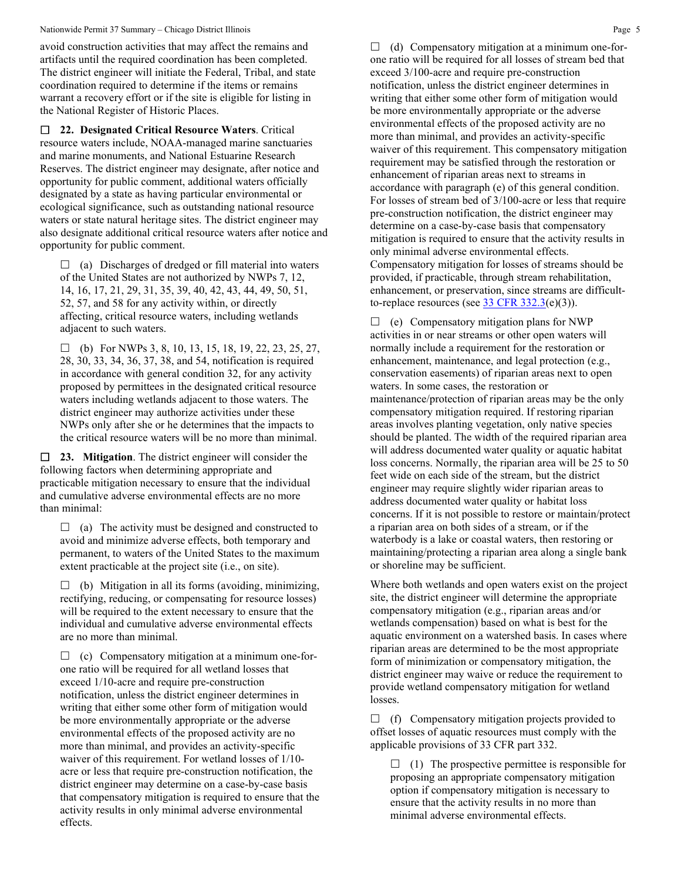#### Nationwide Permit 37 Summary – Chicago District Illinois **Page 5** All the State of the State of the State of the State of the State of the State of the State of the State of the State of the State of the State of the State

avoid construction activities that may affect the remains and artifacts until the required coordination has been completed. The district engineer will initiate the Federal, Tribal, and state coordination required to determine if the items or remains warrant a recovery effort or if the site is eligible for listing in the National Register of Historic Places.

 **22. Designated Critical Resource Waters**. Critical resource waters include, NOAA-managed marine sanctuaries and marine monuments, and National Estuarine Research Reserves. The district engineer may designate, after notice and opportunity for public comment, additional waters officially designated by a state as having particular environmental or ecological significance, such as outstanding national resource waters or state natural heritage sites. The district engineer may also designate additional critical resource waters after notice and opportunity for public comment.

 $\Box$  (a) Discharges of dredged or fill material into waters of the United States are not authorized by NWPs 7, 12, 14, 16, 17, 21, 29, 31, 35, 39, 40, 42, 43, 44, 49, 50, 51, 52, 57, and 58 for any activity within, or directly affecting, critical resource waters, including wetlands adjacent to such waters.

 $\Box$  (b) For NWPs 3, 8, 10, 13, 15, 18, 19, 22, 23, 25, 27, 28, 30, 33, 34, 36, 37, 38, and 54, notification is required in accordance with general condition 32, for any activity proposed by permittees in the designated critical resource waters including wetlands adjacent to those waters. The district engineer may authorize activities under these NWPs only after she or he determines that the impacts to the critical resource waters will be no more than minimal.

 **23. Mitigation**. The district engineer will consider the following factors when determining appropriate and practicable mitigation necessary to ensure that the individual and cumulative adverse environmental effects are no more than minimal:

 $\Box$  (a) The activity must be designed and constructed to avoid and minimize adverse effects, both temporary and permanent, to waters of the United States to the maximum extent practicable at the project site (i.e., on site).

 $\Box$  (b) Mitigation in all its forms (avoiding, minimizing, rectifying, reducing, or compensating for resource losses) will be required to the extent necessary to ensure that the individual and cumulative adverse environmental effects are no more than minimal.

 $\Box$  (c) Compensatory mitigation at a minimum one-forone ratio will be required for all wetland losses that exceed 1/10-acre and require pre-construction notification, unless the district engineer determines in writing that either some other form of mitigation would be more environmentally appropriate or the adverse environmental effects of the proposed activity are no more than minimal, and provides an activity-specific waiver of this requirement. For wetland losses of 1/10 acre or less that require pre-construction notification, the district engineer may determine on a case-by-case basis that compensatory mitigation is required to ensure that the activity results in only minimal adverse environmental effects.

 $\Box$  (d) Compensatory mitigation at a minimum one-forone ratio will be required for all losses of stream bed that exceed 3/100-acre and require pre-construction notification, unless the district engineer determines in writing that either some other form of mitigation would be more environmentally appropriate or the adverse environmental effects of the proposed activity are no more than minimal, and provides an activity-specific waiver of this requirement. This compensatory mitigation requirement may be satisfied through the restoration or enhancement of riparian areas next to streams in accordance with paragraph (e) of this general condition. For losses of stream bed of 3/100-acre or less that require pre-construction notification, the district engineer may determine on a case-by-case basis that compensatory mitigation is required to ensure that the activity results in only minimal adverse environmental effects. Compensatory mitigation for losses of streams should be provided, if practicable, through stream rehabilitation, enhancement, or preservation, since streams are difficultto-replace resources (see  $33 \text{ CFR } 332.3(e)(3)$ ).

 $\Box$  (e) Compensatory mitigation plans for NWP activities in or near streams or other open waters will normally include a requirement for the restoration or enhancement, maintenance, and legal protection (e.g., conservation easements) of riparian areas next to open waters. In some cases, the restoration or maintenance/protection of riparian areas may be the only compensatory mitigation required. If restoring riparian areas involves planting vegetation, only native species should be planted. The width of the required riparian area will address documented water quality or aquatic habitat loss concerns. Normally, the riparian area will be 25 to 50 feet wide on each side of the stream, but the district engineer may require slightly wider riparian areas to address documented water quality or habitat loss concerns. If it is not possible to restore or maintain/protect a riparian area on both sides of a stream, or if the waterbody is a lake or coastal waters, then restoring or maintaining/protecting a riparian area along a single bank or shoreline may be sufficient.

Where both wetlands and open waters exist on the project site, the district engineer will determine the appropriate compensatory mitigation (e.g., riparian areas and/or wetlands compensation) based on what is best for the aquatic environment on a watershed basis. In cases where riparian areas are determined to be the most appropriate form of minimization or compensatory mitigation, the district engineer may waive or reduce the requirement to provide wetland compensatory mitigation for wetland losses.

 $\Box$  (f) Compensatory mitigation projects provided to offset losses of aquatic resources must comply with the applicable provisions of 33 CFR part 332.

 $\Box$  (1) The prospective permittee is responsible for proposing an appropriate compensatory mitigation option if compensatory mitigation is necessary to ensure that the activity results in no more than minimal adverse environmental effects.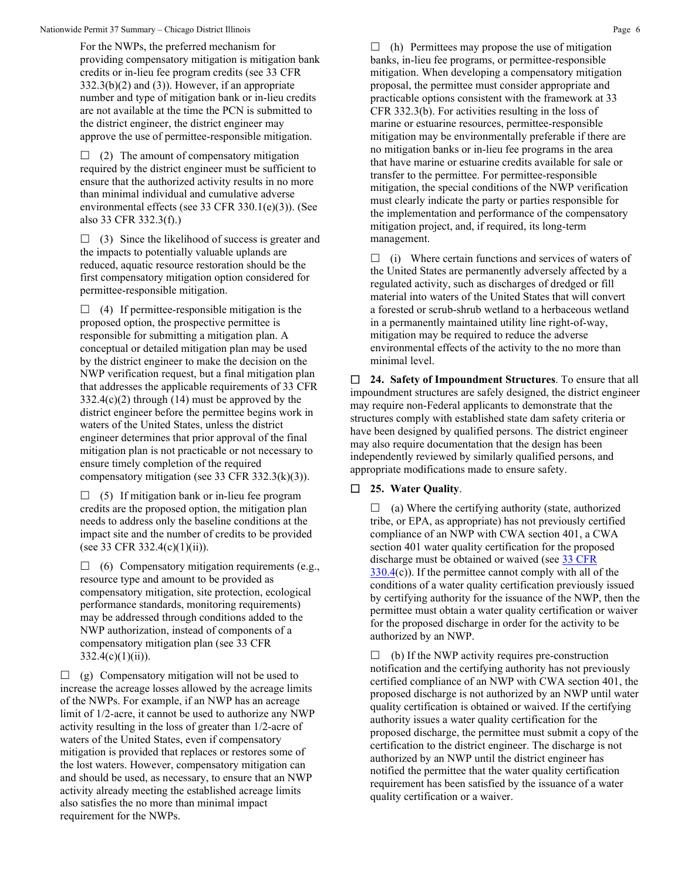#### Nationwide Permit 37 Summary – Chicago District Illinois **Page 6** Summary – Chicago District Illinois **Page 6** Summary – Chicago District Illinois **Page 6** Summary – Chicago District Illinois **Page 6** Summary – Chicago Dis

For the NWPs, the preferred mechanism for providing compensatory mitigation is mitigation bank credits or in-lieu fee program credits (see 33 CFR  $332.3(b)(2)$  and  $(3)$ ). However, if an appropriate number and type of mitigation bank or in-lieu credits are not available at the time the PCN is submitted to the district engineer, the district engineer may approve the use of permittee-responsible mitigation.

 $\Box$  (2) The amount of compensatory mitigation required by the district engineer must be sufficient to ensure that the authorized activity results in no more than minimal individual and cumulative adverse environmental effects (see 33 CFR 330.1(e)(3)). (See also 33 CFR 332.3(f).)

 $\Box$  (3) Since the likelihood of success is greater and the impacts to potentially valuable uplands are reduced, aquatic resource restoration should be the first compensatory mitigation option considered for permittee-responsible mitigation.

 $\Box$  (4) If permittee-responsible mitigation is the proposed option, the prospective permittee is responsible for submitting a mitigation plan. A conceptual or detailed mitigation plan may be used by the district engineer to make the decision on the NWP verification request, but a final mitigation plan that addresses the applicable requirements of 33 CFR 332.4(c)(2) through (14) must be approved by the district engineer before the permittee begins work in waters of the United States, unless the district engineer determines that prior approval of the final mitigation plan is not practicable or not necessary to ensure timely completion of the required compensatory mitigation (see 33 CFR 332.3(k)(3)).

 $\Box$  (5) If mitigation bank or in-lieu fee program credits are the proposed option, the mitigation plan needs to address only the baseline conditions at the impact site and the number of credits to be provided (see 33 CFR 332.4(c)(1)(ii)).

 $\Box$  (6) Compensatory mitigation requirements (e.g., resource type and amount to be provided as compensatory mitigation, site protection, ecological performance standards, monitoring requirements) may be addressed through conditions added to the NWP authorization, instead of components of a compensatory mitigation plan (see 33 CFR  $332.4(c)(1)(ii)$ .

 $\Box$  (g) Compensatory mitigation will not be used to increase the acreage losses allowed by the acreage limits of the NWPs. For example, if an NWP has an acreage limit of 1/2-acre, it cannot be used to authorize any NWP activity resulting in the loss of greater than 1/2-acre of waters of the United States, even if compensatory mitigation is provided that replaces or restores some of the lost waters. However, compensatory mitigation can and should be used, as necessary, to ensure that an NWP activity already meeting the established acreage limits also satisfies the no more than minimal impact requirement for the NWPs.

 $\Box$  (h) Permittees may propose the use of mitigation banks, in-lieu fee programs, or permittee-responsible mitigation. When developing a compensatory mitigation proposal, the permittee must consider appropriate and practicable options consistent with the framework at 33 CFR 332.3(b). For activities resulting in the loss of marine or estuarine resources, permittee-responsible mitigation may be environmentally preferable if there are no mitigation banks or in-lieu fee programs in the area that have marine or estuarine credits available for sale or transfer to the permittee. For permittee-responsible mitigation, the special conditions of the NWP verification must clearly indicate the party or parties responsible for the implementation and performance of the compensatory mitigation project, and, if required, its long-term management.

 $\Box$  (i) Where certain functions and services of waters of the United States are permanently adversely affected by a regulated activity, such as discharges of dredged or fill material into waters of the United States that will convert a forested or scrub-shrub wetland to a herbaceous wetland in a permanently maintained utility line right-of-way, mitigation may be required to reduce the adverse environmental effects of the activity to the no more than minimal level.

 **24. Safety of Impoundment Structures**. To ensure that all impoundment structures are safely designed, the district engineer may require non-Federal applicants to demonstrate that the structures comply with established state dam safety criteria or have been designed by qualified persons. The district engineer may also require documentation that the design has been independently reviewed by similarly qualified persons, and appropriate modifications made to ensure safety.

## **25. Water Quality**.

 $\Box$  (a) Where the certifying authority (state, authorized tribe, or EPA, as appropriate) has not previously certified compliance of an NWP with CWA section 401, a CWA section 401 water quality certification for the proposed discharge must be obtained or waived (see 33 CFR [330.4\(](https://www.federalregister.gov/select-citation/2021/01/13/33-CFR-330.4)c)). If the permittee cannot comply with all of the conditions of a water quality certification previously issued by certifying authority for the issuance of the NWP, then the permittee must obtain a water quality certification or waiver for the proposed discharge in order for the activity to be authorized by an NWP.

 $\Box$  (b) If the NWP activity requires pre-construction notification and the certifying authority has not previously certified compliance of an NWP with CWA section 401, the proposed discharge is not authorized by an NWP until water quality certification is obtained or waived. If the certifying authority issues a water quality certification for the proposed discharge, the permittee must submit a copy of the certification to the district engineer. The discharge is not authorized by an NWP until the district engineer has notified the permittee that the water quality certification requirement has been satisfied by the issuance of a water quality certification or a waiver.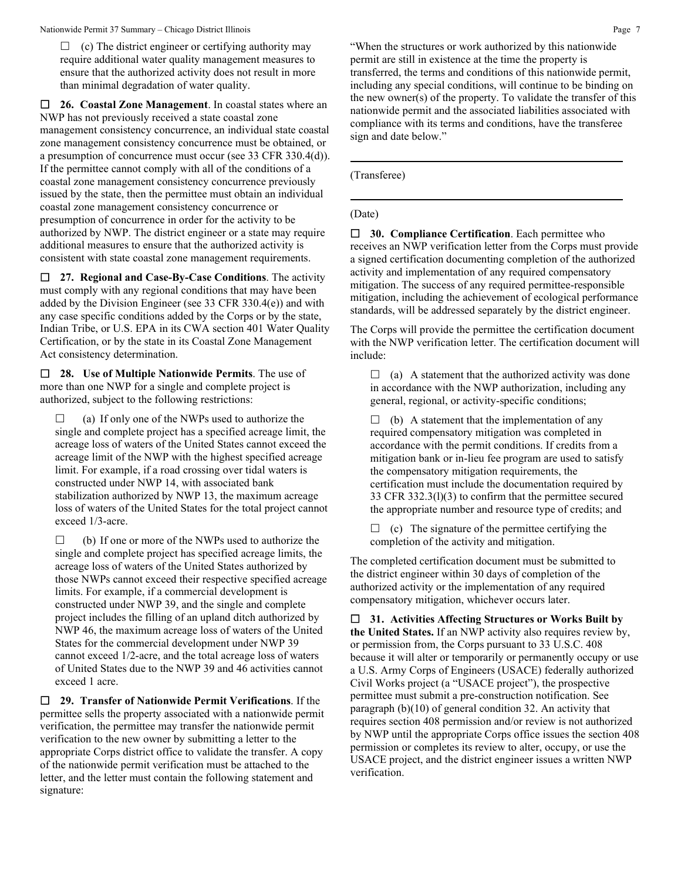$\Box$  (c) The district engineer or certifying authority may require additional water quality management measures to ensure that the authorized activity does not result in more than minimal degradation of water quality.

 **26. Coastal Zone Management**. In coastal states where an NWP has not previously received a state coastal zone management consistency concurrence, an individual state coastal zone management consistency concurrence must be obtained, or a presumption of concurrence must occur (see 33 CFR 330.4(d)). If the permittee cannot comply with all of the conditions of a coastal zone management consistency concurrence previously issued by the state, then the permittee must obtain an individual coastal zone management consistency concurrence or presumption of concurrence in order for the activity to be authorized by NWP. The district engineer or a state may require additional measures to ensure that the authorized activity is consistent with state coastal zone management requirements.

 **27. Regional and Case-By-Case Conditions**. The activity must comply with any regional conditions that may have been added by the Division Engineer (see 33 CFR 330.4(e)) and with any case specific conditions added by the Corps or by the state, Indian Tribe, or U.S. EPA in its CWA section 401 Water Quality Certification, or by the state in its Coastal Zone Management Act consistency determination.

 **28. Use of Multiple Nationwide Permits**. The use of more than one NWP for a single and complete project is authorized, subject to the following restrictions:

 $\Box$  (a) If only one of the NWPs used to authorize the single and complete project has a specified acreage limit, the acreage loss of waters of the United States cannot exceed the acreage limit of the NWP with the highest specified acreage limit. For example, if a road crossing over tidal waters is constructed under NWP 14, with associated bank stabilization authorized by NWP 13, the maximum acreage loss of waters of the United States for the total project cannot exceed 1/3-acre.

 $\Box$  (b) If one or more of the NWPs used to authorize the single and complete project has specified acreage limits, the acreage loss of waters of the United States authorized by those NWPs cannot exceed their respective specified acreage limits. For example, if a commercial development is constructed under NWP 39, and the single and complete project includes the filling of an upland ditch authorized by NWP 46, the maximum acreage loss of waters of the United States for the commercial development under NWP 39 cannot exceed 1/2-acre, and the total acreage loss of waters of United States due to the NWP 39 and 46 activities cannot exceed 1 acre.

 **29. Transfer of Nationwide Permit Verifications**. If the permittee sells the property associated with a nationwide permit verification, the permittee may transfer the nationwide permit verification to the new owner by submitting a letter to the appropriate Corps district office to validate the transfer. A copy of the nationwide permit verification must be attached to the letter, and the letter must contain the following statement and signature:

"When the structures or work authorized by this nationwide permit are still in existence at the time the property is transferred, the terms and conditions of this nationwide permit, including any special conditions, will continue to be binding on the new owner(s) of the property. To validate the transfer of this nationwide permit and the associated liabilities associated with compliance with its terms and conditions, have the transferee sign and date below."

(Transferee)

## (Date)

 **30. Compliance Certification**. Each permittee who receives an NWP verification letter from the Corps must provide a signed certification documenting completion of the authorized activity and implementation of any required compensatory mitigation. The success of any required permittee-responsible mitigation, including the achievement of ecological performance standards, will be addressed separately by the district engineer.

The Corps will provide the permittee the certification document with the NWP verification letter. The certification document will include:

 $\Box$  (a) A statement that the authorized activity was done in accordance with the NWP authorization, including any general, regional, or activity-specific conditions;

 $\Box$  (b) A statement that the implementation of any required compensatory mitigation was completed in accordance with the permit conditions. If credits from a mitigation bank or in-lieu fee program are used to satisfy the compensatory mitigation requirements, the certification must include the documentation required by 33 CFR 332.3(l)(3) to confirm that the permittee secured the appropriate number and resource type of credits; and

 $\Box$  (c) The signature of the permittee certifying the completion of the activity and mitigation.

The completed certification document must be submitted to the district engineer within 30 days of completion of the authorized activity or the implementation of any required compensatory mitigation, whichever occurs later.

 **31. Activities Affecting Structures or Works Built by the United States.** If an NWP activity also requires review by, or permission from, the Corps pursuant to 33 U.S.C. 408 because it will alter or temporarily or permanently occupy or use a U.S. Army Corps of Engineers (USACE) federally authorized Civil Works project (a "USACE project"), the prospective permittee must submit a pre-construction notification. See paragraph (b)(10) of general condition 32. An activity that requires section 408 permission and/or review is not authorized by NWP until the appropriate Corps office issues the section 408 permission or completes its review to alter, occupy, or use the USACE project, and the district engineer issues a written NWP verification.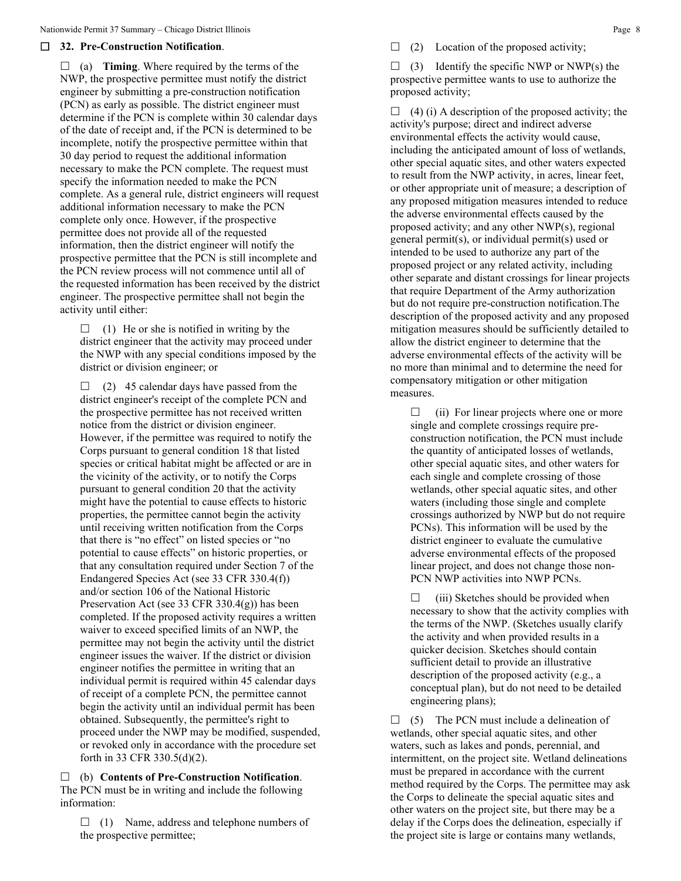## **32. Pre-Construction Notification**.

 $\Box$  (a) **Timing**. Where required by the terms of the NWP, the prospective permittee must notify the district engineer by submitting a pre-construction notification (PCN) as early as possible. The district engineer must determine if the PCN is complete within 30 calendar days of the date of receipt and, if the PCN is determined to be incomplete, notify the prospective permittee within that 30 day period to request the additional information necessary to make the PCN complete. The request must specify the information needed to make the PCN complete. As a general rule, district engineers will request additional information necessary to make the PCN complete only once. However, if the prospective permittee does not provide all of the requested information, then the district engineer will notify the prospective permittee that the PCN is still incomplete and the PCN review process will not commence until all of the requested information has been received by the district engineer. The prospective permittee shall not begin the activity until either:

 $\Box$  (1) He or she is notified in writing by the district engineer that the activity may proceed under the NWP with any special conditions imposed by the district or division engineer; or

 $\Box$  (2) 45 calendar days have passed from the district engineer's receipt of the complete PCN and the prospective permittee has not received written notice from the district or division engineer. However, if the permittee was required to notify the Corps pursuant to general condition 18 that listed species or critical habitat might be affected or are in the vicinity of the activity, or to notify the Corps pursuant to general condition 20 that the activity might have the potential to cause effects to historic properties, the permittee cannot begin the activity until receiving written notification from the Corps that there is "no effect" on listed species or "no potential to cause effects" on historic properties, or that any consultation required under Section 7 of the Endangered Species Act (see 33 CFR 330.4(f)) and/or section 106 of the National Historic Preservation Act (see 33 CFR 330.4(g)) has been completed. If the proposed activity requires a written waiver to exceed specified limits of an NWP, the permittee may not begin the activity until the district engineer issues the waiver. If the district or division engineer notifies the permittee in writing that an individual permit is required within 45 calendar days of receipt of a complete PCN, the permittee cannot begin the activity until an individual permit has been obtained. Subsequently, the permittee's right to proceed under the NWP may be modified, suspended, or revoked only in accordance with the procedure set forth in 33 CFR 330.5(d)(2).

 (b) **Contents of Pre-Construction Notification**. The PCN must be in writing and include the following information:

 $\Box$  (1) Name, address and telephone numbers of the prospective permittee;

 $\Box$  (2) Location of the proposed activity;

 $\Box$  (3) Identify the specific NWP or NWP(s) the prospective permittee wants to use to authorize the proposed activity;

 $\Box$  (4) (i) A description of the proposed activity; the activity's purpose; direct and indirect adverse environmental effects the activity would cause, including the anticipated amount of loss of wetlands, other special aquatic sites, and other waters expected to result from the NWP activity, in acres, linear feet, or other appropriate unit of measure; a description of any proposed mitigation measures intended to reduce the adverse environmental effects caused by the proposed activity; and any other NWP(s), regional general permit(s), or individual permit(s) used or intended to be used to authorize any part of the proposed project or any related activity, including other separate and distant crossings for linear projects that require Department of the Army authorization but do not require pre-construction notification.The description of the proposed activity and any proposed mitigation measures should be sufficiently detailed to allow the district engineer to determine that the adverse environmental effects of the activity will be no more than minimal and to determine the need for compensatory mitigation or other mitigation measures.

 $\Box$  (ii) For linear projects where one or more single and complete crossings require preconstruction notification, the PCN must include the quantity of anticipated losses of wetlands, other special aquatic sites, and other waters for each single and complete crossing of those wetlands, other special aquatic sites, and other waters (including those single and complete crossings authorized by NWP but do not require PCNs). This information will be used by the district engineer to evaluate the cumulative adverse environmental effects of the proposed linear project, and does not change those non-PCN NWP activities into NWP PCNs.

 $\Box$  (iii) Sketches should be provided when necessary to show that the activity complies with the terms of the NWP. (Sketches usually clarify the activity and when provided results in a quicker decision. Sketches should contain sufficient detail to provide an illustrative description of the proposed activity (e.g., a conceptual plan), but do not need to be detailed engineering plans);

 $\Box$  (5) The PCN must include a delineation of wetlands, other special aquatic sites, and other waters, such as lakes and ponds, perennial, and intermittent, on the project site. Wetland delineations must be prepared in accordance with the current method required by the Corps. The permittee may ask the Corps to delineate the special aquatic sites and other waters on the project site, but there may be a delay if the Corps does the delineation, especially if the project site is large or contains many wetlands,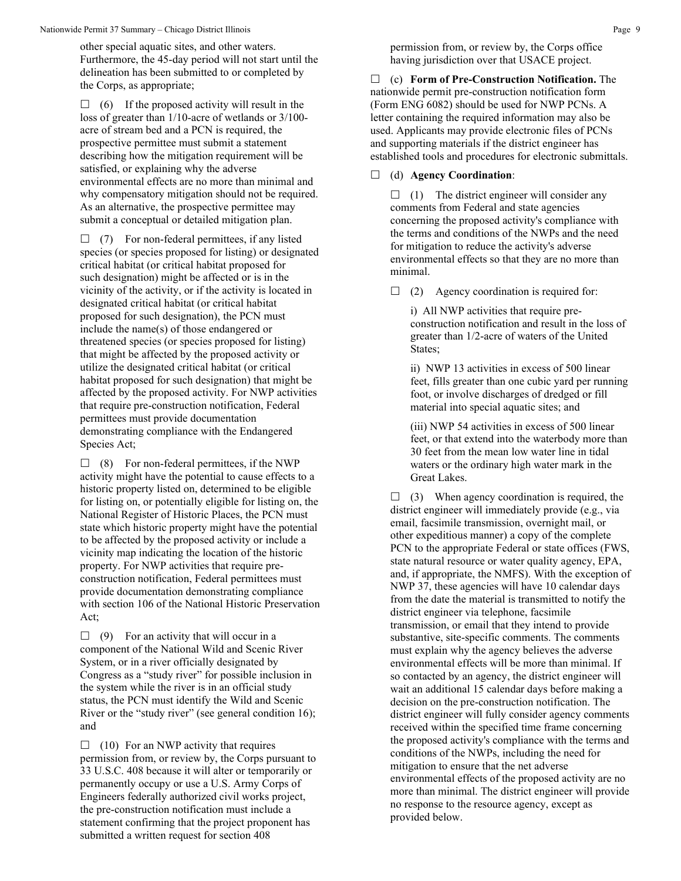other special aquatic sites, and other waters. Furthermore, the 45-day period will not start until the delineation has been submitted to or completed by the Corps, as appropriate;

 $\Box$  (6) If the proposed activity will result in the loss of greater than 1/10-acre of wetlands or 3/100 acre of stream bed and a PCN is required, the prospective permittee must submit a statement describing how the mitigation requirement will be satisfied, or explaining why the adverse environmental effects are no more than minimal and why compensatory mitigation should not be required. As an alternative, the prospective permittee may submit a conceptual or detailed mitigation plan.

 $\Box$  (7) For non-federal permittees, if any listed species (or species proposed for listing) or designated critical habitat (or critical habitat proposed for such designation) might be affected or is in the vicinity of the activity, or if the activity is located in designated critical habitat (or critical habitat proposed for such designation), the PCN must include the name(s) of those endangered or threatened species (or species proposed for listing) that might be affected by the proposed activity or utilize the designated critical habitat (or critical habitat proposed for such designation) that might be affected by the proposed activity. For NWP activities that require pre-construction notification, Federal permittees must provide documentation demonstrating compliance with the Endangered Species Act;

 $\Box$  (8) For non-federal permittees, if the NWP activity might have the potential to cause effects to a historic property listed on, determined to be eligible for listing on, or potentially eligible for listing on, the National Register of Historic Places, the PCN must state which historic property might have the potential to be affected by the proposed activity or include a vicinity map indicating the location of the historic property. For NWP activities that require preconstruction notification, Federal permittees must provide documentation demonstrating compliance with section 106 of the National Historic Preservation Act;

 $\Box$  (9) For an activity that will occur in a component of the National Wild and Scenic River System, or in a river officially designated by Congress as a "study river" for possible inclusion in the system while the river is in an official study status, the PCN must identify the Wild and Scenic River or the "study river" (see general condition 16); and

 $\Box$  (10) For an NWP activity that requires permission from, or review by, the Corps pursuant to 33 U.S.C. 408 because it will alter or temporarily or permanently occupy or use a U.S. Army Corps of Engineers federally authorized civil works project, the pre-construction notification must include a statement confirming that the project proponent has submitted a written request for section 408

permission from, or review by, the Corps office having jurisdiction over that USACE project.

 (c) **Form of Pre-Construction Notification.** The nationwide permit pre-construction notification form (Form ENG 6082) should be used for NWP PCNs. A letter containing the required information may also be used. Applicants may provide electronic files of PCNs and supporting materials if the district engineer has established tools and procedures for electronic submittals.

(d) **Agency Coordination**:

 $\Box$  (1) The district engineer will consider any comments from Federal and state agencies concerning the proposed activity's compliance with the terms and conditions of the NWPs and the need for mitigation to reduce the activity's adverse environmental effects so that they are no more than minimal.

 $\Box$  (2) Agency coordination is required for:

i) All NWP activities that require preconstruction notification and result in the loss of greater than 1/2-acre of waters of the United States;

ii) NWP 13 activities in excess of 500 linear feet, fills greater than one cubic yard per running foot, or involve discharges of dredged or fill material into special aquatic sites; and

(iii) NWP 54 activities in excess of 500 linear feet, or that extend into the waterbody more than 30 feet from the mean low water line in tidal waters or the ordinary high water mark in the Great Lakes.

 $\Box$  (3) When agency coordination is required, the district engineer will immediately provide (e.g., via email, facsimile transmission, overnight mail, or other expeditious manner) a copy of the complete PCN to the appropriate Federal or state offices (FWS, state natural resource or water quality agency, EPA, and, if appropriate, the NMFS). With the exception of NWP 37, these agencies will have 10 calendar days from the date the material is transmitted to notify the district engineer via telephone, facsimile transmission, or email that they intend to provide substantive, site-specific comments. The comments must explain why the agency believes the adverse environmental effects will be more than minimal. If so contacted by an agency, the district engineer will wait an additional 15 calendar days before making a decision on the pre-construction notification. The district engineer will fully consider agency comments received within the specified time frame concerning the proposed activity's compliance with the terms and conditions of the NWPs, including the need for mitigation to ensure that the net adverse environmental effects of the proposed activity are no more than minimal. The district engineer will provide no response to the resource agency, except as provided below.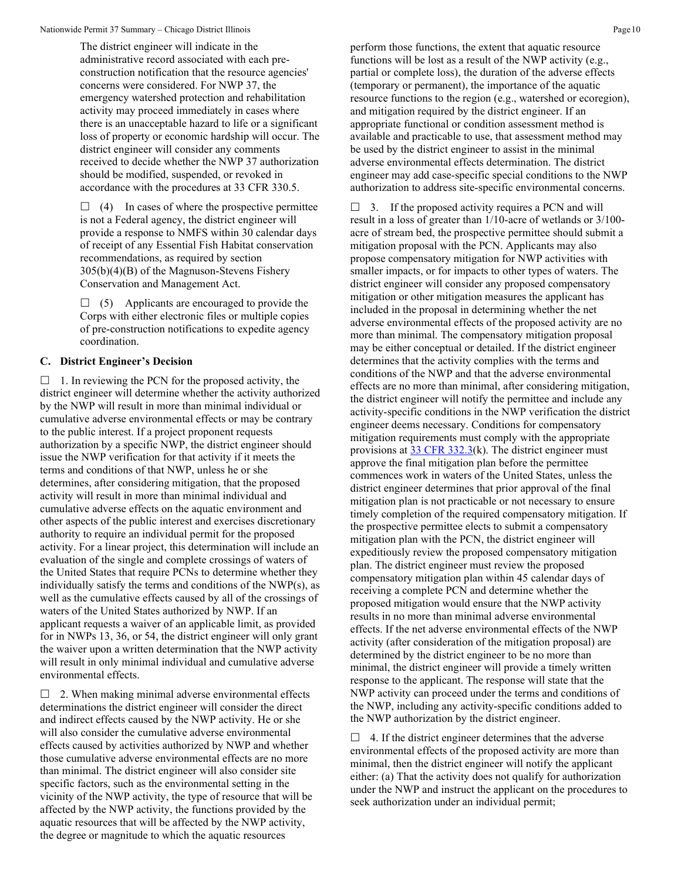The district engineer will indicate in the administrative record associated with each preconstruction notification that the resource agencies' concerns were considered. For NWP 37, the emergency watershed protection and rehabilitation activity may proceed immediately in cases where there is an unacceptable hazard to life or a significant loss of property or economic hardship will occur. The district engineer will consider any comments received to decide whether the NWP 37 authorization should be modified, suspended, or revoked in accordance with the procedures at 33 CFR 330.5.

 $\Box$  (4) In cases of where the prospective permittee is not a Federal agency, the district engineer will provide a response to NMFS within 30 calendar days of receipt of any Essential Fish Habitat conservation recommendations, as required by section 305(b)(4)(B) of the Magnuson-Stevens Fishery Conservation and Management Act.

 $\Box$  (5) Applicants are encouraged to provide the Corps with either electronic files or multiple copies of pre-construction notifications to expedite agency coordination.

## **C. District Engineer's Decision**

 $\Box$  1. In reviewing the PCN for the proposed activity, the district engineer will determine whether the activity authorized by the NWP will result in more than minimal individual or cumulative adverse environmental effects or may be contrary to the public interest. If a project proponent requests authorization by a specific NWP, the district engineer should issue the NWP verification for that activity if it meets the terms and conditions of that NWP, unless he or she determines, after considering mitigation, that the proposed activity will result in more than minimal individual and cumulative adverse effects on the aquatic environment and other aspects of the public interest and exercises discretionary authority to require an individual permit for the proposed activity. For a linear project, this determination will include an evaluation of the single and complete crossings of waters of the United States that require PCNs to determine whether they individually satisfy the terms and conditions of the NWP(s), as well as the cumulative effects caused by all of the crossings of waters of the United States authorized by NWP. If an applicant requests a waiver of an applicable limit, as provided for in NWPs 13, 36, or 54, the district engineer will only grant the waiver upon a written determination that the NWP activity will result in only minimal individual and cumulative adverse environmental effects.

 $\Box$  2. When making minimal adverse environmental effects determinations the district engineer will consider the direct and indirect effects caused by the NWP activity. He or she will also consider the cumulative adverse environmental effects caused by activities authorized by NWP and whether those cumulative adverse environmental effects are no more than minimal. The district engineer will also consider site specific factors, such as the environmental setting in the vicinity of the NWP activity, the type of resource that will be affected by the NWP activity, the functions provided by the aquatic resources that will be affected by the NWP activity, the degree or magnitude to which the aquatic resources

perform those functions, the extent that aquatic resource functions will be lost as a result of the NWP activity (e.g., partial or complete loss), the duration of the adverse effects (temporary or permanent), the importance of the aquatic resource functions to the region (e.g., watershed or ecoregion), and mitigation required by the district engineer. If an appropriate functional or condition assessment method is available and practicable to use, that assessment method may be used by the district engineer to assist in the minimal adverse environmental effects determination. The district engineer may add case-specific special conditions to the NWP authorization to address site-specific environmental concerns.

 $\Box$  3. If the proposed activity requires a PCN and will result in a loss of greater than 1/10-acre of wetlands or 3/100 acre of stream bed, the prospective permittee should submit a mitigation proposal with the PCN. Applicants may also propose compensatory mitigation for NWP activities with smaller impacts, or for impacts to other types of waters. The district engineer will consider any proposed compensatory mitigation or other mitigation measures the applicant has included in the proposal in determining whether the net adverse environmental effects of the proposed activity are no more than minimal. The compensatory mitigation proposal may be either conceptual or detailed. If the district engineer determines that the activity complies with the terms and conditions of the NWP and that the adverse environmental effects are no more than minimal, after considering mitigation, the district engineer will notify the permittee and include any activity-specific conditions in the NWP verification the district engineer deems necessary. Conditions for compensatory mitigation requirements must comply with the appropriate provisions at  $33 \text{ CFR } 332.3(k)$ . The district engineer must approve the final mitigation plan before the permittee commences work in waters of the United States, unless the district engineer determines that prior approval of the final mitigation plan is not practicable or not necessary to ensure timely completion of the required compensatory mitigation. If the prospective permittee elects to submit a compensatory mitigation plan with the PCN, the district engineer will expeditiously review the proposed compensatory mitigation plan. The district engineer must review the proposed compensatory mitigation plan within 45 calendar days of receiving a complete PCN and determine whether the proposed mitigation would ensure that the NWP activity results in no more than minimal adverse environmental effects. If the net adverse environmental effects of the NWP activity (after consideration of the mitigation proposal) are determined by the district engineer to be no more than minimal, the district engineer will provide a timely written response to the applicant. The response will state that the NWP activity can proceed under the terms and conditions of the NWP, including any activity-specific conditions added to the NWP authorization by the district engineer.

 $\Box$  4. If the district engineer determines that the adverse environmental effects of the proposed activity are more than minimal, then the district engineer will notify the applicant either: (a) That the activity does not qualify for authorization under the NWP and instruct the applicant on the procedures to seek authorization under an individual permit;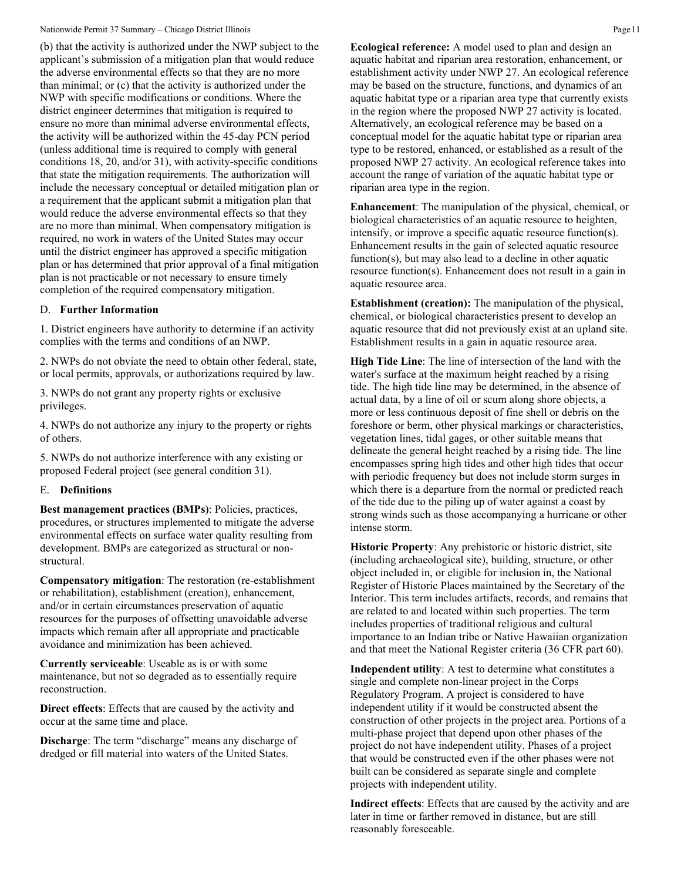### Nationwide Permit 37 Summary – Chicago District Illinois Page 11

(b) that the activity is authorized under the NWP subject to the applicant's submission of a mitigation plan that would reduce the adverse environmental effects so that they are no more than minimal; or (c) that the activity is authorized under the NWP with specific modifications or conditions. Where the district engineer determines that mitigation is required to ensure no more than minimal adverse environmental effects, the activity will be authorized within the 45-day PCN period (unless additional time is required to comply with general conditions 18, 20, and/or 31), with activity-specific conditions that state the mitigation requirements. The authorization will include the necessary conceptual or detailed mitigation plan or a requirement that the applicant submit a mitigation plan that would reduce the adverse environmental effects so that they are no more than minimal. When compensatory mitigation is required, no work in waters of the United States may occur until the district engineer has approved a specific mitigation plan or has determined that prior approval of a final mitigation plan is not practicable or not necessary to ensure timely completion of the required compensatory mitigation.

## D. **Further Information**

1. District engineers have authority to determine if an activity complies with the terms and conditions of an NWP.

2. NWPs do not obviate the need to obtain other federal, state, or local permits, approvals, or authorizations required by law.

3. NWPs do not grant any property rights or exclusive privileges.

4. NWPs do not authorize any injury to the property or rights of others.

5. NWPs do not authorize interference with any existing or proposed Federal project (see general condition 31).

#### E. **Definitions**

**Best management practices (BMPs)**: Policies, practices, procedures, or structures implemented to mitigate the adverse environmental effects on surface water quality resulting from development. BMPs are categorized as structural or nonstructural.

**Compensatory mitigation**: The restoration (re-establishment or rehabilitation), establishment (creation), enhancement, and/or in certain circumstances preservation of aquatic resources for the purposes of offsetting unavoidable adverse impacts which remain after all appropriate and practicable avoidance and minimization has been achieved.

**Currently serviceable**: Useable as is or with some maintenance, but not so degraded as to essentially require reconstruction.

**Direct effects**: Effects that are caused by the activity and occur at the same time and place.

**Discharge:** The term "discharge" means any discharge of dredged or fill material into waters of the United States.

**Ecological reference:** A model used to plan and design an aquatic habitat and riparian area restoration, enhancement, or establishment activity under NWP 27. An ecological reference may be based on the structure, functions, and dynamics of an aquatic habitat type or a riparian area type that currently exists in the region where the proposed NWP 27 activity is located. Alternatively, an ecological reference may be based on a conceptual model for the aquatic habitat type or riparian area type to be restored, enhanced, or established as a result of the proposed NWP 27 activity. An ecological reference takes into account the range of variation of the aquatic habitat type or riparian area type in the region.

**Enhancement**: The manipulation of the physical, chemical, or biological characteristics of an aquatic resource to heighten, intensify, or improve a specific aquatic resource function(s). Enhancement results in the gain of selected aquatic resource function(s), but may also lead to a decline in other aquatic resource function(s). Enhancement does not result in a gain in aquatic resource area.

**Establishment (creation):** The manipulation of the physical, chemical, or biological characteristics present to develop an aquatic resource that did not previously exist at an upland site. Establishment results in a gain in aquatic resource area.

**High Tide Line**: The line of intersection of the land with the water's surface at the maximum height reached by a rising tide. The high tide line may be determined, in the absence of actual data, by a line of oil or scum along shore objects, a more or less continuous deposit of fine shell or debris on the foreshore or berm, other physical markings or characteristics, vegetation lines, tidal gages, or other suitable means that delineate the general height reached by a rising tide. The line encompasses spring high tides and other high tides that occur with periodic frequency but does not include storm surges in which there is a departure from the normal or predicted reach of the tide due to the piling up of water against a coast by strong winds such as those accompanying a hurricane or other intense storm.

**Historic Property**: Any prehistoric or historic district, site (including archaeological site), building, structure, or other object included in, or eligible for inclusion in, the National Register of Historic Places maintained by the Secretary of the Interior. This term includes artifacts, records, and remains that are related to and located within such properties. The term includes properties of traditional religious and cultural importance to an Indian tribe or Native Hawaiian organization and that meet the National Register criteria (36 CFR part 60).

**Independent utility**: A test to determine what constitutes a single and complete non-linear project in the Corps Regulatory Program. A project is considered to have independent utility if it would be constructed absent the construction of other projects in the project area. Portions of a multi-phase project that depend upon other phases of the project do not have independent utility. Phases of a project that would be constructed even if the other phases were not built can be considered as separate single and complete projects with independent utility.

**Indirect effects**: Effects that are caused by the activity and are later in time or farther removed in distance, but are still reasonably foreseeable.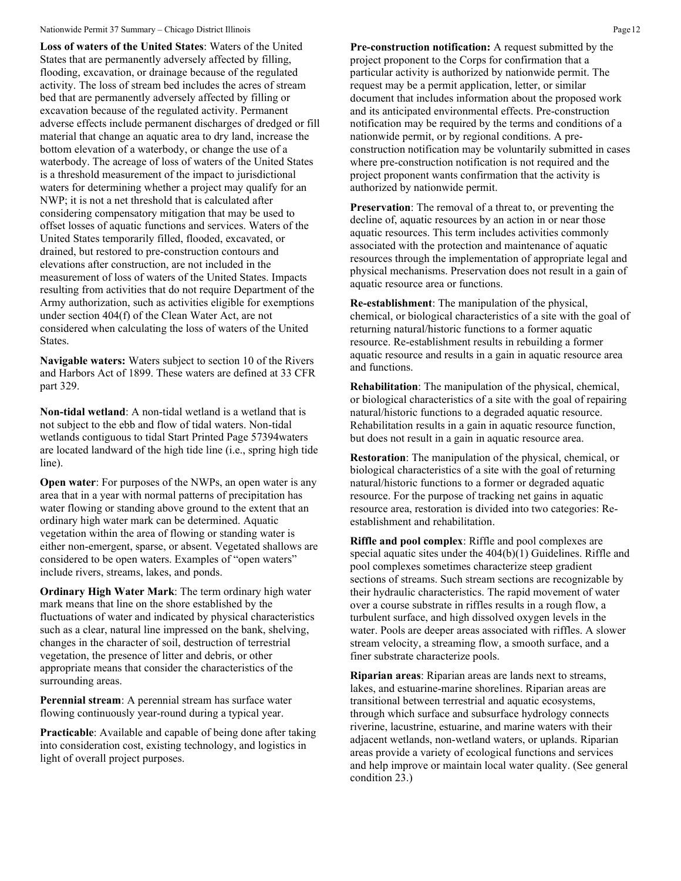#### Nationwide Permit 37 Summary – Chicago District Illinois Page 12

**Loss of waters of the United States**: Waters of the United States that are permanently adversely affected by filling, flooding, excavation, or drainage because of the regulated activity. The loss of stream bed includes the acres of stream bed that are permanently adversely affected by filling or excavation because of the regulated activity. Permanent adverse effects include permanent discharges of dredged or fill material that change an aquatic area to dry land, increase the bottom elevation of a waterbody, or change the use of a waterbody. The acreage of loss of waters of the United States is a threshold measurement of the impact to jurisdictional waters for determining whether a project may qualify for an NWP; it is not a net threshold that is calculated after considering compensatory mitigation that may be used to offset losses of aquatic functions and services. Waters of the United States temporarily filled, flooded, excavated, or drained, but restored to pre-construction contours and elevations after construction, are not included in the measurement of loss of waters of the United States. Impacts resulting from activities that do not require Department of the Army authorization, such as activities eligible for exemptions under section 404(f) of the Clean Water Act, are not considered when calculating the loss of waters of the United States.

**Navigable waters:** Waters subject to section 10 of the Rivers and Harbors Act of 1899. These waters are defined at 33 CFR part 329.

**Non-tidal wetland**: A non-tidal wetland is a wetland that is not subject to the ebb and flow of tidal waters. Non-tidal wetlands contiguous to tidal Start Printed Page 57394waters are located landward of the high tide line (i.e., spring high tide line).

**Open water**: For purposes of the NWPs, an open water is any area that in a year with normal patterns of precipitation has water flowing or standing above ground to the extent that an ordinary high water mark can be determined. Aquatic vegetation within the area of flowing or standing water is either non-emergent, sparse, or absent. Vegetated shallows are considered to be open waters. Examples of "open waters" include rivers, streams, lakes, and ponds.

**Ordinary High Water Mark**: The term ordinary high water mark means that line on the shore established by the fluctuations of water and indicated by physical characteristics such as a clear, natural line impressed on the bank, shelving, changes in the character of soil, destruction of terrestrial vegetation, the presence of litter and debris, or other appropriate means that consider the characteristics of the surrounding areas.

**Perennial stream**: A perennial stream has surface water flowing continuously year-round during a typical year.

**Practicable**: Available and capable of being done after taking into consideration cost, existing technology, and logistics in light of overall project purposes.

**Pre-construction notification:** A request submitted by the project proponent to the Corps for confirmation that a particular activity is authorized by nationwide permit. The request may be a permit application, letter, or similar document that includes information about the proposed work and its anticipated environmental effects. Pre-construction notification may be required by the terms and conditions of a nationwide permit, or by regional conditions. A preconstruction notification may be voluntarily submitted in cases where pre-construction notification is not required and the project proponent wants confirmation that the activity is authorized by nationwide permit.

**Preservation**: The removal of a threat to, or preventing the decline of, aquatic resources by an action in or near those aquatic resources. This term includes activities commonly associated with the protection and maintenance of aquatic resources through the implementation of appropriate legal and physical mechanisms. Preservation does not result in a gain of aquatic resource area or functions.

**Re-establishment**: The manipulation of the physical, chemical, or biological characteristics of a site with the goal of returning natural/historic functions to a former aquatic resource. Re-establishment results in rebuilding a former aquatic resource and results in a gain in aquatic resource area and functions.

**Rehabilitation**: The manipulation of the physical, chemical, or biological characteristics of a site with the goal of repairing natural/historic functions to a degraded aquatic resource. Rehabilitation results in a gain in aquatic resource function, but does not result in a gain in aquatic resource area.

**Restoration**: The manipulation of the physical, chemical, or biological characteristics of a site with the goal of returning natural/historic functions to a former or degraded aquatic resource. For the purpose of tracking net gains in aquatic resource area, restoration is divided into two categories: Reestablishment and rehabilitation.

**Riffle and pool complex**: Riffle and pool complexes are special aquatic sites under the 404(b)(1) Guidelines. Riffle and pool complexes sometimes characterize steep gradient sections of streams. Such stream sections are recognizable by their hydraulic characteristics. The rapid movement of water over a course substrate in riffles results in a rough flow, a turbulent surface, and high dissolved oxygen levels in the water. Pools are deeper areas associated with riffles. A slower stream velocity, a streaming flow, a smooth surface, and a finer substrate characterize pools.

**Riparian areas**: Riparian areas are lands next to streams, lakes, and estuarine-marine shorelines. Riparian areas are transitional between terrestrial and aquatic ecosystems, through which surface and subsurface hydrology connects riverine, lacustrine, estuarine, and marine waters with their adjacent wetlands, non-wetland waters, or uplands. Riparian areas provide a variety of ecological functions and services and help improve or maintain local water quality. (See general condition 23.)